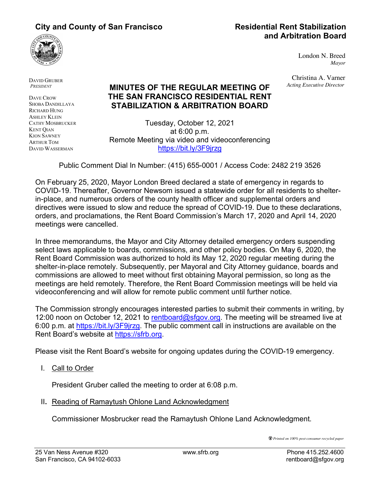# **City and County of San Francisco Residential Rent Stabilization**



London N. Breed

Christina A. Varner *Acting Executive Director*

*Mayor*

DAVID GRUBER *PRESIDENT*

DAVE CROW SHOBA DANDILLAYA RICHARD HUNG ASHLEY KLEIN CATHY MOSBRUCKER KENT QIAN KION SAWNEY ARTHUR TOM DAVID WASSERMAN

# **MINUTES OF THE REGULAR MEETING OF THE SAN FRANCISCO RESIDENTIAL RENT STABILIZATION & ARBITRATION BOARD**

Tuesday, October 12, 2021 at 6:00 p.m. Remote Meeting via video and videoconferencing https://bit.ly/3F9jrzg

Public Comment Dial In Number: (415) 655-0001 / Access Code: 2482 219 3526

On February 25, 2020, Mayor London Breed declared a state of emergency in regards to COVID-19. Thereafter, Governor Newsom issued a statewide order for all residents to shelterin-place, and numerous orders of the county health officer and supplemental orders and directives were issued to slow and reduce the spread of COVID-19. Due to these declarations, orders, and proclamations, the Rent Board Commission's March 17, 2020 and April 14, 2020 meetings were cancelled.

In three memorandums, the Mayor and City Attorney detailed emergency orders suspending select laws applicable to boards, commissions, and other policy bodies. On May 6, 2020, the Rent Board Commission was authorized to hold its May 12, 2020 regular meeting during the shelter-in-place remotely. Subsequently, per Mayoral and City Attorney guidance, boards and commissions are allowed to meet without first obtaining Mayoral permission, so long as the meetings are held remotely. Therefore, the Rent Board Commission meetings will be held via videoconferencing and will allow for remote public comment until further notice.

The Commission strongly encourages interested parties to submit their comments in writing, by 12:00 noon on October 12, 2021 to rentboard@sfgov.org. The meeting will be streamed live at 6:00 p.m. at https://bit.ly/3F9jrzg. The public comment call in instructions are available on the Rent Board's website at https://sfrb.org.

Please visit the Rent Board's website for ongoing updates during the COVID-19 emergency.

I. Call to Order

President Gruber called the meeting to order at 6:08 p.m.

II**.** Reading of Ramaytush Ohlone Land Acknowledgment

Commissioner Mosbrucker read the Ramaytush Ohlone Land Acknowledgment.

*Printed on 100% post-consumer recycled paper*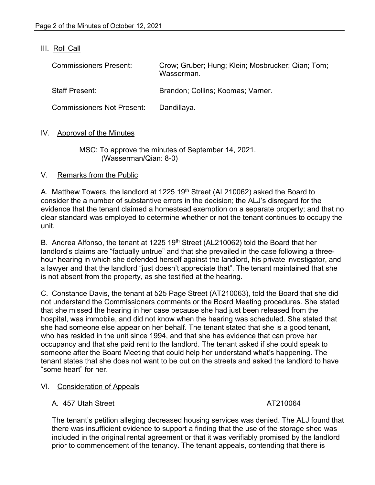#### III. Roll Call

| <b>Commissioners Present:</b>     | Crow; Gruber; Hung; Klein; Mosbrucker; Qian; Tom;<br>Wasserman. |
|-----------------------------------|-----------------------------------------------------------------|
| <b>Staff Present:</b>             | Brandon; Collins; Koomas; Varner.                               |
| <b>Commissioners Not Present:</b> | Dandillaya.                                                     |

#### IV. Approval of the Minutes

#### MSC: To approve the minutes of September 14, 2021. (Wasserman/Qian: 8-0)

#### V. Remarks from the Public

A. Matthew Towers, the landlord at 1225 19<sup>th</sup> Street (AL210062) asked the Board to consider the a number of substantive errors in the decision; the ALJ's disregard for the evidence that the tenant claimed a homestead exemption on a separate property; and that no clear standard was employed to determine whether or not the tenant continues to occupy the unit.

B. Andrea Alfonso, the tenant at 1225 19<sup>th</sup> Street (AL210062) told the Board that her landlord's claims are "factually untrue" and that she prevailed in the case following a threehour hearing in which she defended herself against the landlord, his private investigator, and a lawyer and that the landlord "just doesn't appreciate that". The tenant maintained that she is not absent from the property, as she testified at the hearing.

C. Constance Davis, the tenant at 525 Page Street (AT210063), told the Board that she did not understand the Commissioners comments or the Board Meeting procedures. She stated that she missed the hearing in her case because she had just been released from the hospital, was immobile, and did not know when the hearing was scheduled. She stated that she had someone else appear on her behalf. The tenant stated that she is a good tenant, who has resided in the unit since 1994, and that she has evidence that can prove her occupancy and that she paid rent to the landlord. The tenant asked if she could speak to someone after the Board Meeting that could help her understand what's happening. The tenant states that she does not want to be out on the streets and asked the landlord to have "some heart" for her.

#### VI. Consideration of Appeals

### A. 457 Utah Street AT210064

The tenant's petition alleging decreased housing services was denied. The ALJ found that there was insufficient evidence to support a finding that the use of the storage shed was included in the original rental agreement or that it was verifiably promised by the landlord prior to commencement of the tenancy. The tenant appeals, contending that there is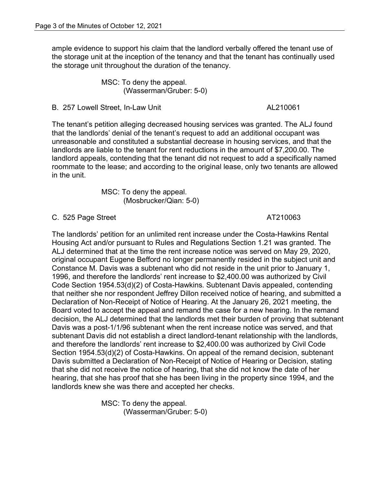ample evidence to support his claim that the landlord verbally offered the tenant use of the storage unit at the inception of the tenancy and that the tenant has continually used the storage unit throughout the duration of the tenancy.

> MSC: To deny the appeal. (Wasserman/Gruber: 5-0)

B. 257 Lowell Street, In-Law Unit AL210061

The tenant's petition alleging decreased housing services was granted. The ALJ found that the landlords' denial of the tenant's request to add an additional occupant was unreasonable and constituted a substantial decrease in housing services, and that the landlords are liable to the tenant for rent reductions in the amount of \$7,200.00. The landlord appeals, contending that the tenant did not request to add a specifically named roommate to the lease; and according to the original lease, only two tenants are allowed in the unit.

> MSC: To deny the appeal. (Mosbrucker/Qian: 5-0)

C. 525 Page Street AT210063

The landlords' petition for an unlimited rent increase under the Costa-Hawkins Rental Housing Act and/or pursuant to Rules and Regulations Section 1.21 was granted. The ALJ determined that at the time the rent increase notice was served on May 29, 2020, original occupant Eugene Befford no longer permanently resided in the subject unit and Constance M. Davis was a subtenant who did not reside in the unit prior to January 1, 1996, and therefore the landlords' rent increase to \$2,400.00 was authorized by Civil Code Section 1954.53(d)(2) of Costa-Hawkins. Subtenant Davis appealed, contending that neither she nor respondent Jeffrey Dillon received notice of hearing, and submitted a Declaration of Non-Receipt of Notice of Hearing. At the January 26, 2021 meeting, the Board voted to accept the appeal and remand the case for a new hearing. In the remand decision, the ALJ determined that the landlords met their burden of proving that subtenant Davis was a post-1/1/96 subtenant when the rent increase notice was served, and that subtenant Davis did not establish a direct landlord-tenant relationship with the landlords, and therefore the landlords' rent increase to \$2,400.00 was authorized by Civil Code Section 1954.53(d)(2) of Costa-Hawkins. On appeal of the remand decision, subtenant Davis submitted a Declaration of Non-Receipt of Notice of Hearing or Decision, stating that she did not receive the notice of hearing, that she did not know the date of her hearing, that she has proof that she has been living in the property since 1994, and the landlords knew she was there and accepted her checks.

> MSC: To deny the appeal. (Wasserman/Gruber: 5-0)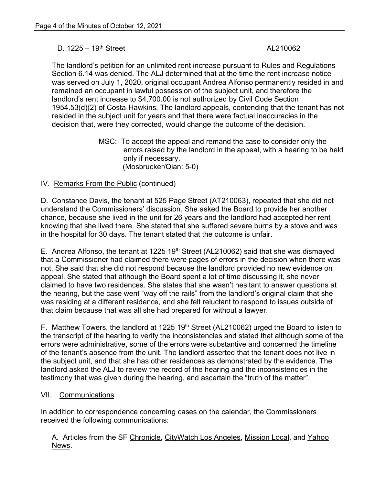#### $D. 1225 - 19<sup>th</sup> Street$  AL210062

The landlord's petition for an unlimited rent increase pursuant to Rules and Regulations Section 6.14 was denied. The ALJ determined that at the time the rent increase notice was served on July 1, 2020, original occupant Andrea Alfonso permanently resided in and remained an occupant in lawful possession of the subject unit, and therefore the landlord's rent increase to \$4,700.00 is not authorized by Civil Code Section 1954.53(d)(2) of Costa-Hawkins. The landlord appeals, contending that the tenant has not resided in the subject unit for years and that there were factual inaccuracies in the decision that, were they corrected, would change the outcome of the decision.

> MSC: To accept the appeal and remand the case to consider only the errors raised by the landlord in the appeal, with a hearing to be held only if necessary. (Mosbrucker/Qian: 5-0)

#### IV. Remarks From the Public (continued)

D. Constance Davis, the tenant at 525 Page Street (AT210063), repeated that she did not understand the Commissioners' discussion. She asked the Board to provide her another chance, because she lived in the unit for 26 years and the landlord had accepted her rent knowing that she lived there. She stated that she suffered severe burns by a stove and was in the hospital for 30 days. The tenant stated that the outcome is unfair.

E. Andrea Alfonso, the tenant at 1225 19<sup>th</sup> Street (AL210062) said that she was dismayed that a Commissioner had claimed there were pages of errors in the decision when there was not. She said that she did not respond because the landlord provided no new evidence on appeal. She stated that although the Board spent a lot of time discussing it, she never claimed to have two residences. She states that she wasn't hesitant to answer questions at the hearing, but the case went "way off the rails" from the landlord's original claim that she was residing at a different residence, and she felt reluctant to respond to issues outside of that claim because that was all she had prepared for without a lawyer.

F. Matthew Towers, the landlord at 1225 19<sup>th</sup> Street (AL210062) urged the Board to listen to the transcript of the hearing to verify the inconsistencies and stated that although some of the errors were administrative, some of the errors were substantive and concerned the timeline of the tenant's absence from the unit. The landlord asserted that the tenant does not live in the subject unit, and that she has other residences as demonstrated by the evidence. The landlord asked the ALJ to review the record of the hearing and the inconsistencies in the testimony that was given during the hearing, and ascertain the "truth of the matter".

#### VII. Communications

In addition to correspondence concerning cases on the calendar, the Commissioners received the following communications:

A. Articles from the SF Chronicle, CityWatch Los Angeles, Mission Local, and Yahoo News.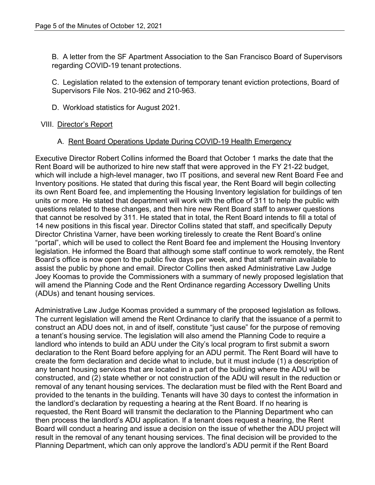B. A letter from the SF Apartment Association to the San Francisco Board of Supervisors regarding COVID-19 tenant protections.

C. Legislation related to the extension of temporary tenant eviction protections, Board of Supervisors File Nos. 210-962 and 210-963.

D. Workload statistics for August 2021.

### VIII. Director's Report

#### A. Rent Board Operations Update During COVID-19 Health Emergency

Executive Director Robert Collins informed the Board that October 1 marks the date that the Rent Board will be authorized to hire new staff that were approved in the FY 21-22 budget, which will include a high-level manager, two IT positions, and several new Rent Board Fee and Inventory positions. He stated that during this fiscal year, the Rent Board will begin collecting its own Rent Board fee, and implementing the Housing Inventory legislation for buildings of ten units or more. He stated that department will work with the office of 311 to help the public with questions related to these changes, and then hire new Rent Board staff to answer questions that cannot be resolved by 311. He stated that in total, the Rent Board intends to fill a total of 14 new positions in this fiscal year. Director Collins stated that staff, and specifically Deputy Director Christina Varner, have been working tirelessly to create the Rent Board's online "portal", which will be used to collect the Rent Board fee and implement the Housing Inventory legislation. He informed the Board that although some staff continue to work remotely, the Rent Board's office is now open to the public five days per week, and that staff remain available to assist the public by phone and email. Director Collins then asked Administrative Law Judge Joey Koomas to provide the Commissioners with a summary of newly proposed legislation that will amend the Planning Code and the Rent Ordinance regarding Accessory Dwelling Units (ADUs) and tenant housing services.

Administrative Law Judge Koomas provided a summary of the proposed legislation as follows. The current legislation will amend the Rent Ordinance to clarify that the issuance of a permit to construct an ADU does not, in and of itself, constitute "just cause" for the purpose of removing a tenant's housing service. The legislation will also amend the Planning Code to require a landlord who intends to build an ADU under the City's local program to first submit a sworn declaration to the Rent Board before applying for an ADU permit. The Rent Board will have to create the form declaration and decide what to include, but it must include (1) a description of any tenant housing services that are located in a part of the building where the ADU will be constructed, and (2) state whether or not construction of the ADU will result in the reduction or removal of any tenant housing services. The declaration must be filed with the Rent Board and provided to the tenants in the building. Tenants will have 30 days to contest the information in the landlord's declaration by requesting a hearing at the Rent Board. If no hearing is requested, the Rent Board will transmit the declaration to the Planning Department who can then process the landlord's ADU application. If a tenant does request a hearing, the Rent Board will conduct a hearing and issue a decision on the issue of whether the ADU project will result in the removal of any tenant housing services. The final decision will be provided to the Planning Department, which can only approve the landlord's ADU permit if the Rent Board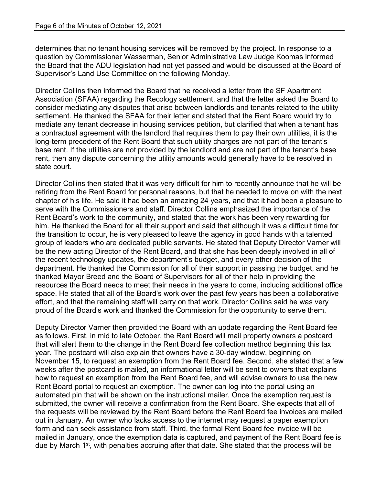determines that no tenant housing services will be removed by the project. In response to a question by Commissioner Wasserman, Senior Administrative Law Judge Koomas informed the Board that the ADU legislation had not yet passed and would be discussed at the Board of Supervisor's Land Use Committee on the following Monday.

Director Collins then informed the Board that he received a letter from the SF Apartment Association (SFAA) regarding the Recology settlement, and that the letter asked the Board to consider mediating any disputes that arise between landlords and tenants related to the utility settlement. He thanked the SFAA for their letter and stated that the Rent Board would try to mediate any tenant decrease in housing services petition, but clarified that when a tenant has a contractual agreement with the landlord that requires them to pay their own utilities, it is the long-term precedent of the Rent Board that such utility charges are not part of the tenant's base rent. If the utilities are not provided by the landlord and are not part of the tenant's base rent, then any dispute concerning the utility amounts would generally have to be resolved in state court.

Director Collins then stated that it was very difficult for him to recently announce that he will be retiring from the Rent Board for personal reasons, but that he needed to move on with the next chapter of his life. He said it had been an amazing 24 years, and that it had been a pleasure to serve with the Commissioners and staff. Director Collins emphasized the importance of the Rent Board's work to the community, and stated that the work has been very rewarding for him. He thanked the Board for all their support and said that although it was a difficult time for the transition to occur, he is very pleased to leave the agency in good hands with a talented group of leaders who are dedicated public servants. He stated that Deputy Director Varner will be the new acting Director of the Rent Board, and that she has been deeply involved in all of the recent technology updates, the department's budget, and every other decision of the department. He thanked the Commission for all of their support in passing the budget, and he thanked Mayor Breed and the Board of Supervisors for all of their help in providing the resources the Board needs to meet their needs in the years to come, including additional office space. He stated that all of the Board's work over the past few years has been a collaborative effort, and that the remaining staff will carry on that work. Director Collins said he was very proud of the Board's work and thanked the Commission for the opportunity to serve them.

Deputy Director Varner then provided the Board with an update regarding the Rent Board fee as follows. First, in mid to late October, the Rent Board will mail property owners a postcard that will alert them to the change in the Rent Board fee collection method beginning this tax year. The postcard will also explain that owners have a 30-day window, beginning on November 15, to request an exemption from the Rent Board fee. Second, she stated that a few weeks after the postcard is mailed, an informational letter will be sent to owners that explains how to request an exemption from the Rent Board fee, and will advise owners to use the new Rent Board portal to request an exemption. The owner can log into the portal using an automated pin that will be shown on the instructional mailer. Once the exemption request is submitted, the owner will receive a confirmation from the Rent Board. She expects that all of the requests will be reviewed by the Rent Board before the Rent Board fee invoices are mailed out in January. An owner who lacks access to the internet may request a paper exemption form and can seek assistance from staff. Third, the formal Rent Board fee invoice will be mailed in January, once the exemption data is captured, and payment of the Rent Board fee is due by March 1<sup>st</sup>, with penalties accruing after that date. She stated that the process will be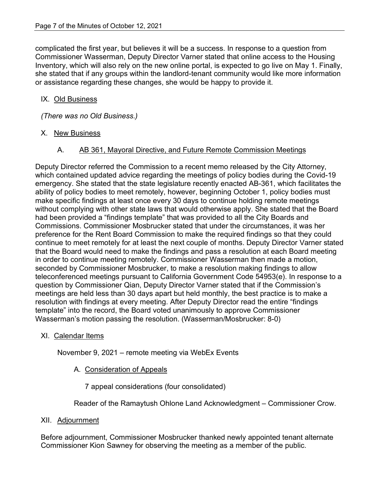complicated the first year, but believes it will be a success. In response to a question from Commissioner Wasserman, Deputy Director Varner stated that online access to the Housing Inventory, which will also rely on the new online portal, is expected to go live on May 1. Finally, she stated that if any groups within the landlord-tenant community would like more information or assistance regarding these changes, she would be happy to provide it.

### IX. Old Business

*(There was no Old Business.)*

## X. New Business

## A. AB 361, Mayoral Directive, and Future Remote Commission Meetings

Deputy Director referred the Commission to a recent memo released by the City Attorney, which contained updated advice regarding the meetings of policy bodies during the Covid-19 emergency. She stated that the state legislature recently enacted AB-361, which facilitates the ability of policy bodies to meet remotely, however, beginning October 1, policy bodies must make specific findings at least once every 30 days to continue holding remote meetings without complying with other state laws that would otherwise apply. She stated that the Board had been provided a "findings template" that was provided to all the City Boards and Commissions. Commissioner Mosbrucker stated that under the circumstances, it was her preference for the Rent Board Commission to make the required findings so that they could continue to meet remotely for at least the next couple of months. Deputy Director Varner stated that the Board would need to make the findings and pass a resolution at each Board meeting in order to continue meeting remotely. Commissioner Wasserman then made a motion, seconded by Commissioner Mosbrucker, to make a resolution making findings to allow teleconferenced meetings pursuant to California Government Code 54953(e). In response to a question by Commissioner Qian, Deputy Director Varner stated that if the Commission's meetings are held less than 30 days apart but held monthly, the best practice is to make a resolution with findings at every meeting. After Deputy Director read the entire "findings template" into the record, the Board voted unanimously to approve Commissioner Wasserman's motion passing the resolution. (Wasserman/Mosbrucker: 8-0)

### XI. Calendar Items

November 9, 2021 – remote meeting via WebEx Events

# A. Consideration of Appeals

7 appeal considerations (four consolidated)

Reader of the Ramaytush Ohlone Land Acknowledgment – Commissioner Crow.

# XII. Adjournment

Before adjournment, Commissioner Mosbrucker thanked newly appointed tenant alternate Commissioner Kion Sawney for observing the meeting as a member of the public.